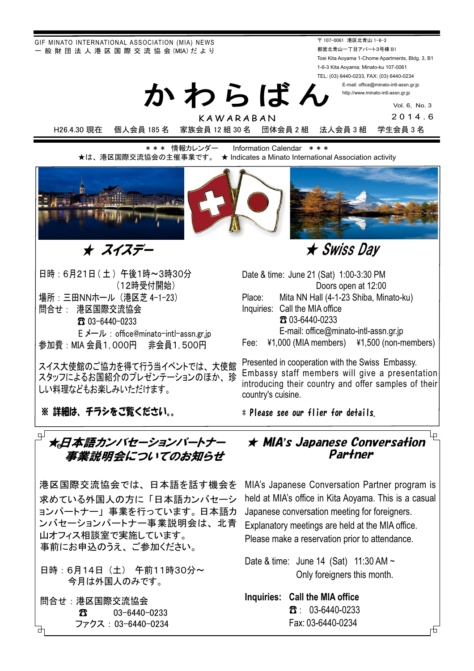GIF MINATO INTERNATIONAL ASSOCIATION (MIA) NEWS - 般 財 団 法 人 港 区 国 際 交 流 協 会 (MIA) だ よ り

かわらばん 〒 107-0061 港区北青山 1-6-3 都営北青山一丁目アパート3号棟 B1 Toei Kita Aoyama 1-Chome Apartments, Bldg. 3, B1 1-6-3 Kita Aoyama; Minato-ku 107-0061 TEL: (03) 6440-0233, FAX: (03) 6440-0234 E-mail: office@minato-intl-assn.gr.jp

http://www.minato-intl-assn.gr.jp

Vol. 6, No. 3

KAWARABAN 2014.6 H26.4.30 現在 個人会員 185 名 家族会員 12 組 30 名 団体会員 2 組 法人会員 3 組 学生会員 3 名

\*\*\* 情報カレンダー Information Calendar \*\*\* ★は、港区国際交流協会の主催事業です。 ★ Indicates a Minato International Association activity



ᴾᴾᴾᴾᴾᴾẅᴾᴾᴾᴾṾẅἋỶἋἙὊ

日時: 6月21日 (土) 午後1時~3時30分 (12時受付開始) 場所: 三田NNホール (港区芝 4-1-23) 問合せ: 港区国際交流協会 **T** $03-6440-0233$ E メール : office@minato-intl-assn.gr.jp

参加費:MIA 会員1,000円 非会員1,500円

スイス大使館のご協力を得て行う当イベントでは、大使館 スタッフによるお国紹介のプレゼンテーションのほか、珍 しい料理などもお楽しみいただけます。

※ 詳細は、 チラシをご覧ください。。

 Doors open at 12:00 Place: Mita NN Hall (4-1-23 Shiba, Minato-ku) Inquiries: Call the MIA office 䖲 03-6440-0233 E-mail: office@minato-intl-assn.gr.jp Fee: ¥1,000 (MIA members) ¥1,500 (non-members)

Date & time: June 21 (Sat) 1:00-3:30 PM

Presented in cooperation with the Swiss Embassy. Embassy staff members will give a presentation introducing their country and offer samples of their country's cuisine.

\* Please see our flier for details.

#### □ ★日本語カンバセーションパートナー 事業説明会についてのお知らせ ▔ ★√

港区国際交流協会では、日本語を話す機会を 求めている外国人の方に「日本語カンバセーシ ョンパートナー」事業を行っています。日本語力 ンバセーションパートナー事業説明会は、北青 山オフィス相談室で実施しています。 事前にお申込のうえ、ご参加ください。

日時: 6月14日 (土) 午前11時30分~ 今月は外国人のみです。

問合せ: 港区国際交流協会 **3** 63–6440–0233 ファクス:03-6440-0234

### **★ MIA's Japanese Conversation** Partner

MIA's Japanese Conversation Partner program is held at MIA's office in Kita Aoyama. This is a casual Japanese conversation meeting for foreigners. Explanatory meetings are held at the MIA office. Please make a reservation prior to attendance.

Date & time: June 14 (Sat) 11:30 AM ~ Only foreigners this month.

**Inquiries: Call the MIA office**  $\textbf{B}$ : 03-6440-0233 Fax: 03-6440-0234